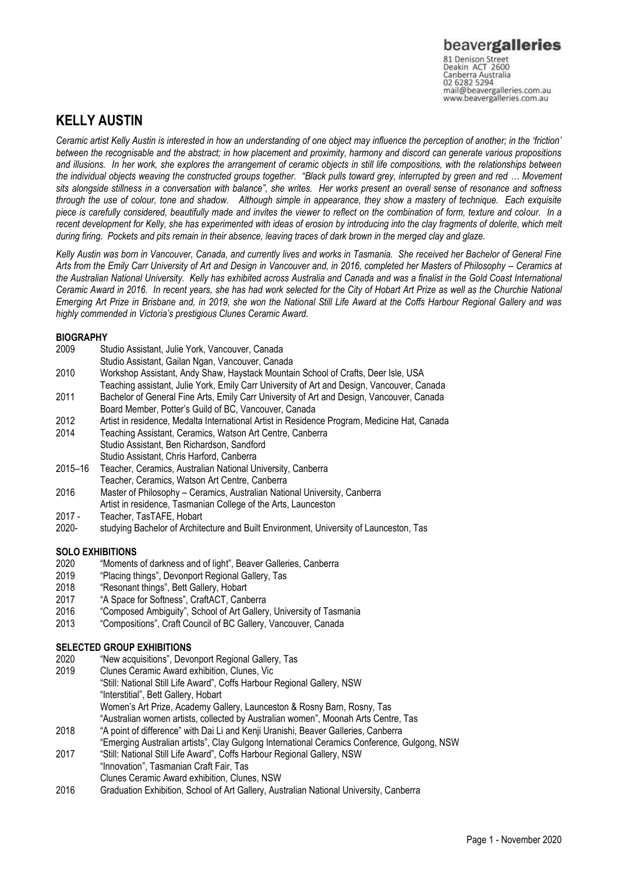Canberra Australia 02 6282 5294 mail@beavergalleries.com.au www.beavergalleries.com.au

## **KELLY AUSTIN**

*Ceramic artist Kelly Austin is interested in how an understanding of one object may influence the perception of another; in the 'friction' between the recognisable and the abstract; in how placement and proximity, harmony and discord can generate various propositions and illusions. In her work, she explores the arrangement of ceramic objects in still life compositions, with the relationships between the individual objects weaving the constructed groups together. "Black pulls toward grey, interrupted by green and red … Movement sits alongside stillness in a conversation with balance", she writes. Her works present an overall sense of resonance and softness through the use of colour, tone and shadow. Although simple in appearance, they show a mastery of technique. Each exquisite piece is carefully considered, beautifully made and invites the viewer to reflect on the combination of form, texture and colour. In a recent development for Kelly, she has experimented with ideas of erosion by introducing into the clay fragments of dolerite, which melt during firing. Pockets and pits remain in their absence, leaving traces of dark brown in the merged clay and glaze.*

*Kelly Austin was born in Vancouver, Canada, and currently lives and works in Tasmania. She received her Bachelor of General Fine* Arts from the Emily Carr University of Art and Design in Vancouver and, in 2016, completed her Masters of Philosophy - Ceramics at *the Australian National University. Kelly has exhibited across Australia and Canada and was a finalist in the Gold Coast International Ceramic Award in 2016. In recent years, she has had work selected for the City of Hobart Art Prize as well as the Churchie National Emerging Art Prize in Brisbane and, in 2019, she won the National Still Life Award at the Coffs Harbour Regional Gallery and was highly commended in Victoria's prestigious Clunes Ceramic Award.* 

## **BIOGRAPHY**

- 2009 Studio Assistant, Julie York, Vancouver, Canada
- Studio Assistant, Gailan Ngan, Vancouver, Canada
- 2010 Workshop Assistant, Andy Shaw, Haystack Mountain School of Crafts, Deer Isle, USA
- Teaching assistant, Julie York, Emily Carr University of Art and Design, Vancouver, Canada 2011 Bachelor of General Fine Arts, Emily Carr University of Art and Design, Vancouver, Canada
- Board Member, Potter's Guild of BC, Vancouver, Canada
- 2012 Artist in residence, Medalta International Artist in Residence Program, Medicine Hat, Canada
- 2014 Teaching Assistant, Ceramics, Watson Art Centre, Canberra
- Studio Assistant, Ben Richardson, Sandford
- Studio Assistant, Chris Harford, Canberra
- 2015–16 Teacher, Ceramics, Australian National University, Canberra Teacher, Ceramics, Watson Art Centre, Canberra
- 2016 Master of Philosophy Ceramics, Australian National University, Canberra Artist in residence, Tasmanian College of the Arts, Launceston
- 2017 Teacher, TasTAFE, Hobart
- 2020- studying Bachelor of Architecture and Built Environment, University of Launceston, Tas

# **SOLO EXHIBITIONS**<br>2020 **"Moments**

- "Moments of darkness and of light", Beaver Galleries, Canberra
- 2019 "Placing things", Devonport Regional Gallery, Tas
- 2018 "Resonant things", Bett Gallery, Hobart
- 2017 "A Space for Softness", CraftACT, Canberra
- 2016 "Composed Ambiguity", School of Art Gallery, University of Tasmania
- 2013 "Compositions", Craft Council of BC Gallery, Vancouver, Canada

## **SELECTED GROUP EXHIBITIONS**

- 2020 "New acquisitions", Devonport Regional Gallery, Tas
- 2019 Clunes Ceramic Award exhibition, Clunes, Vic
- "Still: National Still Life Award", Coffs Harbour Regional Gallery, NSW "Interstitial", Bett Gallery, Hobart Women's Art Prize, Academy Gallery, Launceston & Rosny Barn, Rosny, Tas "Australian women artists, collected by Australian women", Moonah Arts Centre, Tas
- 2018 "A point of difference" with Dai Li and Kenji Uranishi, Beaver Galleries, Canberra
- "Emerging Australian artists", Clay Gulgong International Ceramics Conference, Gulgong, NSW
- 2017 "Still: National Still Life Award", Coffs Harbour Regional Gallery, NSW "Innovation", Tasmanian Craft Fair, Tas
- Clunes Ceramic Award exhibition, Clunes, NSW
- 2016 Graduation Exhibition, School of Art Gallery, Australian National University, Canberra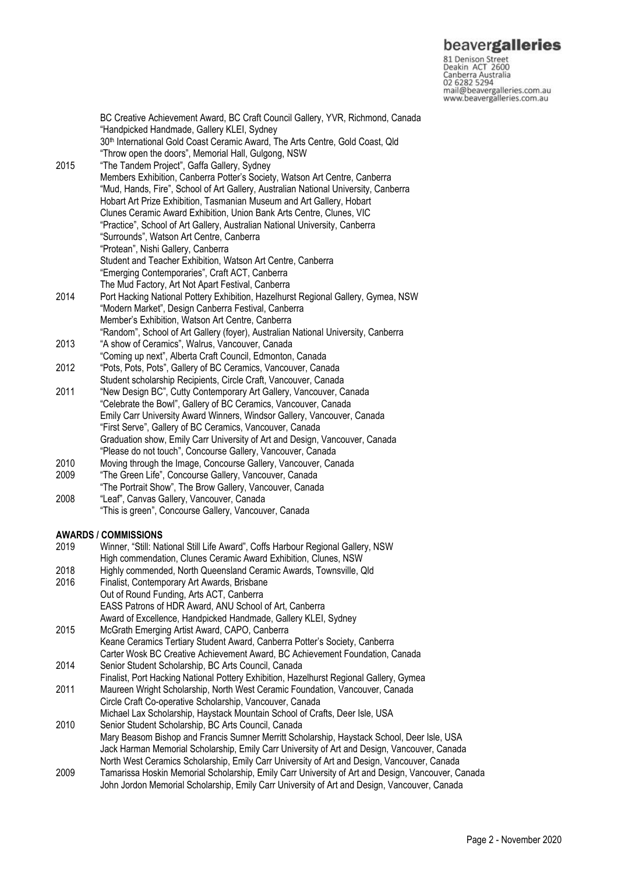**beavergalleries**<br> **81 Denison Street**<br>
Deakin ACT 2600<br>
Canberra Australia<br>
02 6282 5294<br>
mail@beavergalleries.com.au<br>
www.beavergalleries.com.au

|              | BC Creative Achievement Award, BC Craft Council Gallery, YVR, Richmond, Canada<br>"Handpicked Handmade, Gallery KLEI, Sydney<br>30 <sup>th</sup> International Gold Coast Ceramic Award, The Arts Centre, Gold Coast, Qld<br>"Throw open the doors", Memorial Hall, Gulgong, NSW |
|--------------|----------------------------------------------------------------------------------------------------------------------------------------------------------------------------------------------------------------------------------------------------------------------------------|
| 2015         | "The Tandem Project", Gaffa Gallery, Sydney<br>Members Exhibition, Canberra Potter's Society, Watson Art Centre, Canberra                                                                                                                                                        |
|              | "Mud, Hands, Fire", School of Art Gallery, Australian National University, Canberra<br>Hobart Art Prize Exhibition, Tasmanian Museum and Art Gallery, Hobart                                                                                                                     |
|              | Clunes Ceramic Award Exhibition, Union Bank Arts Centre, Clunes, VIC                                                                                                                                                                                                             |
|              | "Practice", School of Art Gallery, Australian National University, Canberra<br>"Surrounds", Watson Art Centre, Canberra                                                                                                                                                          |
|              | "Protean", Nishi Gallery, Canberra                                                                                                                                                                                                                                               |
|              | Student and Teacher Exhibition, Watson Art Centre, Canberra<br>"Emerging Contemporaries", Craft ACT, Canberra                                                                                                                                                                    |
|              | The Mud Factory, Art Not Apart Festival, Canberra                                                                                                                                                                                                                                |
| 2014         | Port Hacking National Pottery Exhibition, Hazelhurst Regional Gallery, Gymea, NSW                                                                                                                                                                                                |
|              | "Modern Market", Design Canberra Festival, Canberra                                                                                                                                                                                                                              |
|              | Member's Exhibition, Watson Art Centre, Canberra<br>"Random", School of Art Gallery (foyer), Australian National University, Canberra                                                                                                                                            |
| 2013         | "A show of Ceramics", Walrus, Vancouver, Canada                                                                                                                                                                                                                                  |
|              | "Coming up next", Alberta Craft Council, Edmonton, Canada                                                                                                                                                                                                                        |
| 2012<br>2011 | "Pots, Pots, Pots", Gallery of BC Ceramics, Vancouver, Canada                                                                                                                                                                                                                    |
|              | Student scholarship Recipients, Circle Craft, Vancouver, Canada<br>"New Design BC", Cutty Contemporary Art Gallery, Vancouver, Canada                                                                                                                                            |
|              | "Celebrate the Bowl", Gallery of BC Ceramics, Vancouver, Canada                                                                                                                                                                                                                  |
|              | Emily Carr University Award Winners, Windsor Gallery, Vancouver, Canada                                                                                                                                                                                                          |
|              | "First Serve", Gallery of BC Ceramics, Vancouver, Canada                                                                                                                                                                                                                         |
|              | Graduation show, Emily Carr University of Art and Design, Vancouver, Canada<br>"Please do not touch", Concourse Gallery, Vancouver, Canada                                                                                                                                       |
| 2010         | Moving through the Image, Concourse Gallery, Vancouver, Canada                                                                                                                                                                                                                   |
| 2009         | "The Green Life", Concourse Gallery, Vancouver, Canada                                                                                                                                                                                                                           |
|              | "The Portrait Show", The Brow Gallery, Vancouver, Canada                                                                                                                                                                                                                         |
| 2008         | "Leaf", Canvas Gallery, Vancouver, Canada<br>"This is green", Concourse Gallery, Vancouver, Canada                                                                                                                                                                               |
|              |                                                                                                                                                                                                                                                                                  |
| 2019         | <b>AWARDS / COMMISSIONS</b><br>Winner, "Still: National Still Life Award", Coffs Harbour Regional Gallery, NSW                                                                                                                                                                   |
|              | High commendation, Clunes Ceramic Award Exhibition, Clunes, NSW                                                                                                                                                                                                                  |
| 2018         | Highly commended, North Queensland Ceramic Awards, Townsville, Qld                                                                                                                                                                                                               |
| 2016         | Finalist, Contemporary Art Awards, Brisbane                                                                                                                                                                                                                                      |
|              | Out of Round Funding, Arts ACT, Canberra                                                                                                                                                                                                                                         |
|              | EASS Patrons of HDR Award, ANU School of Art, Canberra<br>Award of Excellence, Handpicked Handmade, Gallery KLEI, Sydney                                                                                                                                                         |
| 2015         | McGrath Emerging Artist Award, CAPO, Canberra                                                                                                                                                                                                                                    |
|              | Keane Ceramics Tertiary Student Award, Canberra Potter's Society, Canberra                                                                                                                                                                                                       |
|              | Carter Wosk BC Creative Achievement Award, BC Achievement Foundation, Canada                                                                                                                                                                                                     |
| 2014         | Senior Student Scholarship, BC Arts Council, Canada<br>Finalist, Port Hacking National Pottery Exhibition, Hazelhurst Regional Gallery, Gymea                                                                                                                                    |
| 2011         | Maureen Wright Scholarship, North West Ceramic Foundation, Vancouver, Canada                                                                                                                                                                                                     |
|              | Circle Craft Co-operative Scholarship, Vancouver, Canada                                                                                                                                                                                                                         |
|              | Michael Lax Scholarship, Haystack Mountain School of Crafts, Deer Isle, USA                                                                                                                                                                                                      |
| 2010         | Senior Student Scholarship, BC Arts Council, Canada<br>Mary Beasom Bishop and Francis Sumner Merritt Scholarship, Haystack School, Deer Isle, USA                                                                                                                                |
|              | Jack Harman Memorial Scholarship, Emily Carr University of Art and Design, Vancouver, Canada<br>North West Ceramics Scholarship, Emily Carr University of Art and Design, Vancouver, Canada                                                                                      |

2009 Tamarissa Hoskin Memorial Scholarship, Emily Carr University of Art and Design, Vancouver, Canada John Jordon Memorial Scholarship, Emily Carr University of Art and Design, Vancouver, Canada